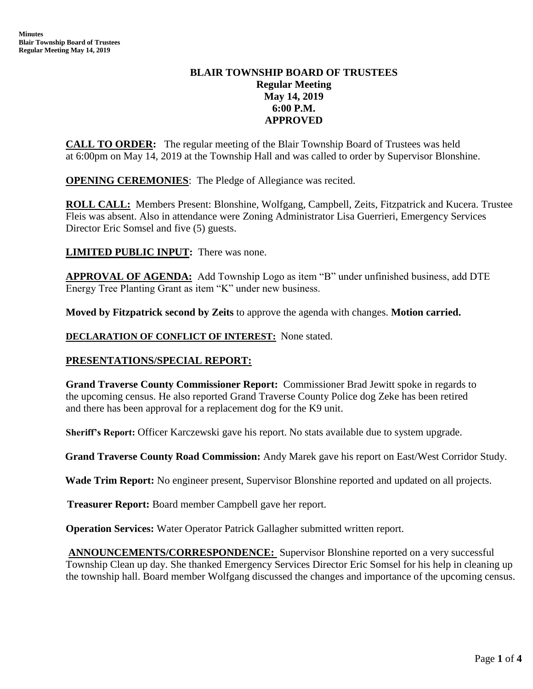# **BLAIR TOWNSHIP BOARD OF TRUSTEES Regular Meeting May 14, 2019 6:00 P.M. APPROVED**

**CALL TO ORDER:** The regular meeting of the Blair Township Board of Trustees was held at 6:00pm on May 14, 2019 at the Township Hall and was called to order by Supervisor Blonshine.

**OPENING CEREMONIES**: The Pledge of Allegiance was recited.

**ROLL CALL:** Members Present: Blonshine, Wolfgang, Campbell, Zeits, Fitzpatrick and Kucera. Trustee Fleis was absent. Also in attendance were Zoning Administrator Lisa Guerrieri, Emergency Services Director Eric Somsel and five (5) guests.

**LIMITED PUBLIC INPUT:** There was none.

**APPROVAL OF AGENDA:** Add Township Logo as item "B" under unfinished business, add DTE Energy Tree Planting Grant as item "K" under new business.

**Moved by Fitzpatrick second by Zeits** to approve the agenda with changes. **Motion carried.**

**DECLARATION OF CONFLICT OF INTEREST:** None stated.

# **PRESENTATIONS/SPECIAL REPORT:**

**Grand Traverse County Commissioner Report:** Commissioner Brad Jewitt spoke in regards to the upcoming census. He also reported Grand Traverse County Police dog Zeke has been retired and there has been approval for a replacement dog for the K9 unit.

**Sheriff's Report:** Officer Karczewski gave his report. No stats available due to system upgrade.

**Grand Traverse County Road Commission:** Andy Marek gave his report on East/West Corridor Study.

**Wade Trim Report:** No engineer present, Supervisor Blonshine reported and updated on all projects.

 **Treasurer Report:** Board member Campbell gave her report.

**Operation Services:** Water Operator Patrick Gallagher submitted written report.

**ANNOUNCEMENTS/CORRESPONDENCE:** Supervisor Blonshine reported on a very successful Township Clean up day. She thanked Emergency Services Director Eric Somsel for his help in cleaning up the township hall. Board member Wolfgang discussed the changes and importance of the upcoming census.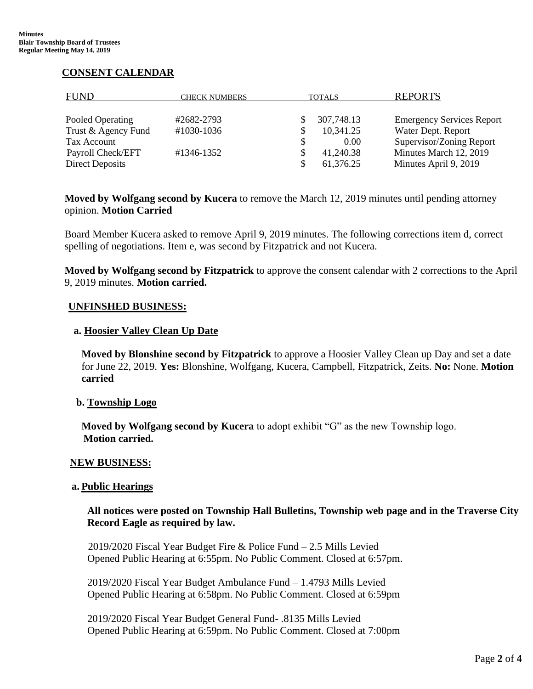# **CONSENT CALENDAR**

| <b>FUND</b>            | <b>CHECK NUMBERS</b> | <b>TOTALS</b>  | <b>REPORTS</b>                   |
|------------------------|----------------------|----------------|----------------------------------|
| Pooled Operating       | #2682-2793           | 307,748.13     | <b>Emergency Services Report</b> |
| Trust & Agency Fund    | #1030-1036           | 10,341.25<br>S | Water Dept. Report               |
| Tax Account            |                      | 0.00           | Supervisor/Zoning Report         |
| Payroll Check/EFT      | #1346-1352           | 41,240.38      | Minutes March 12, 2019           |
| <b>Direct Deposits</b> |                      | 61,376.25      | Minutes April 9, 2019            |

**Moved by Wolfgang second by Kucera** to remove the March 12, 2019 minutes until pending attorney opinion. **Motion Carried**

Board Member Kucera asked to remove April 9, 2019 minutes. The following corrections item d, correct spelling of negotiations. Item e, was second by Fitzpatrick and not Kucera.

**Moved by Wolfgang second by Fitzpatrick** to approve the consent calendar with 2 corrections to the April 9, 2019 minutes. **Motion carried.** 

### **UNFINSHED BUSINESS:**

#### **a. Hoosier Valley Clean Up Date**

**Moved by Blonshine second by Fitzpatrick** to approve a Hoosier Valley Clean up Day and set a date for June 22, 2019. **Yes:** Blonshine, Wolfgang, Kucera, Campbell, Fitzpatrick, Zeits. **No:** None. **Motion carried**

## **b. Township Logo**

**Moved by Wolfgang second by Kucera** to adopt exhibit "G" as the new Township logo.  **Motion carried.** 

#### **NEW BUSINESS:**

#### **a. Public Hearings**

**All notices were posted on Township Hall Bulletins, Township web page and in the Traverse City Record Eagle as required by law.** 

 2019/2020 Fiscal Year Budget Fire & Police Fund – 2.5 Mills Levied Opened Public Hearing at 6:55pm. No Public Comment. Closed at 6:57pm.

2019/2020 Fiscal Year Budget Ambulance Fund – 1.4793 Mills Levied Opened Public Hearing at 6:58pm. No Public Comment. Closed at 6:59pm

2019/2020 Fiscal Year Budget General Fund- .8135 Mills Levied Opened Public Hearing at 6:59pm. No Public Comment. Closed at 7:00pm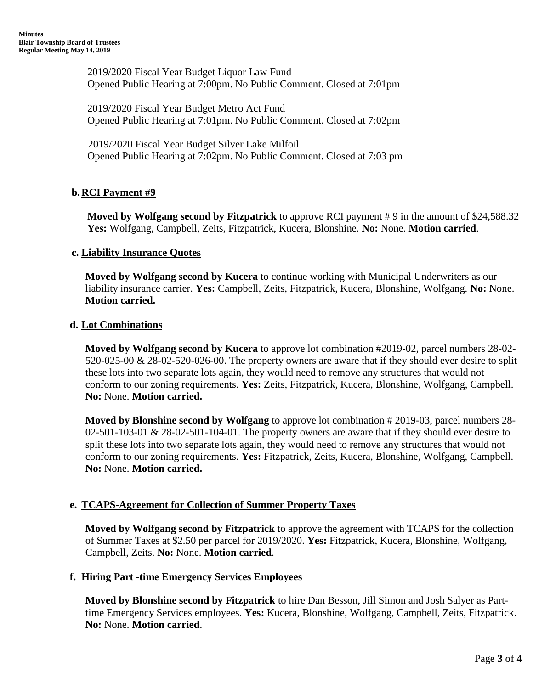2019/2020 Fiscal Year Budget Liquor Law Fund Opened Public Hearing at 7:00pm. No Public Comment. Closed at 7:01pm

2019/2020 Fiscal Year Budget Metro Act Fund Opened Public Hearing at 7:01pm. No Public Comment. Closed at 7:02pm

 2019/2020 Fiscal Year Budget Silver Lake Milfoil Opened Public Hearing at 7:02pm. No Public Comment. Closed at 7:03 pm

# **b.RCI Payment #9**

**Moved by Wolfgang second by Fitzpatrick** to approve RCI payment # 9 in the amount of \$24,588.32 **Yes:** Wolfgang, Campbell, Zeits, Fitzpatrick, Kucera, Blonshine. **No:** None. **Motion carried**.

## **c. Liability Insurance Quotes**

**Moved by Wolfgang second by Kucera** to continue working with Municipal Underwriters as our liability insurance carrier. **Yes:** Campbell, Zeits, Fitzpatrick, Kucera, Blonshine, Wolfgang. **No:** None. **Motion carried.**

### **d. Lot Combinations**

**Moved by Wolfgang second by Kucera** to approve lot combination #2019-02, parcel numbers 28-02- 520-025-00 & 28-02-520-026-00. The property owners are aware that if they should ever desire to split these lots into two separate lots again, they would need to remove any structures that would not conform to our zoning requirements. **Yes:** Zeits, Fitzpatrick, Kucera, Blonshine, Wolfgang, Campbell. **No:** None. **Motion carried.** 

**Moved by Blonshine second by Wolfgang** to approve lot combination # 2019-03, parcel numbers 28- 02-501-103-01  $& 28-02-501-104-01$ . The property owners are aware that if they should ever desire to split these lots into two separate lots again, they would need to remove any structures that would not conform to our zoning requirements. **Yes:** Fitzpatrick, Zeits, Kucera, Blonshine, Wolfgang, Campbell. **No:** None. **Motion carried.** 

## **e. TCAPS-Agreement for Collection of Summer Property Taxes**

**Moved by Wolfgang second by Fitzpatrick** to approve the agreement with TCAPS for the collection of Summer Taxes at \$2.50 per parcel for 2019/2020. **Yes:** Fitzpatrick, Kucera, Blonshine, Wolfgang, Campbell, Zeits. **No:** None. **Motion carried**.

## **f. Hiring Part -time Emergency Services Employees**

**Moved by Blonshine second by Fitzpatrick** to hire Dan Besson, Jill Simon and Josh Salyer as Parttime Emergency Services employees. **Yes:** Kucera, Blonshine, Wolfgang, Campbell, Zeits, Fitzpatrick. **No:** None. **Motion carried**.